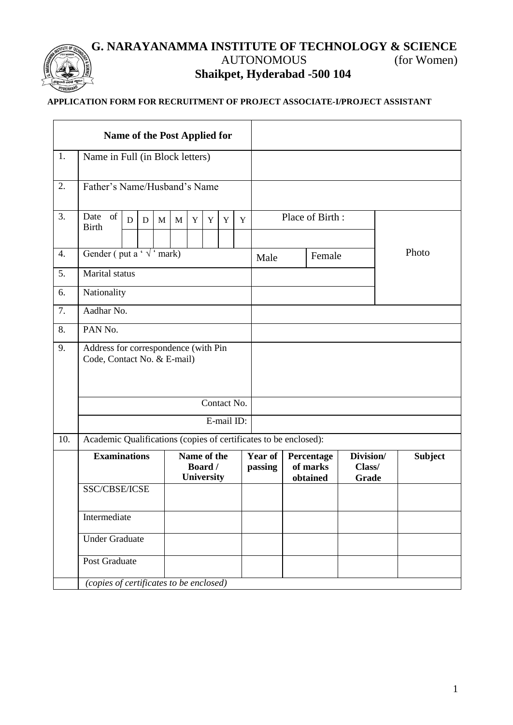## **G. NARAYANAMMA INSTITUTE OF TECHNOLOGY & SCIENCE** AUTONOMOUS (for Women) **Shaikpet, Hyderabad -500 104**

## **APPLICATION FORM FOR RECRUITMENT OF PROJECT ASSOCIATE-I/PROJECT ASSISTANT**

| <b>Name of the Post Applied for</b> |                                                                                                                             |  |  |  |  |  |                                      |  |  |                           |                |                                    |                              |                |
|-------------------------------------|-----------------------------------------------------------------------------------------------------------------------------|--|--|--|--|--|--------------------------------------|--|--|---------------------------|----------------|------------------------------------|------------------------------|----------------|
| 1.                                  | Name in Full (in Block letters)                                                                                             |  |  |  |  |  |                                      |  |  |                           |                |                                    |                              |                |
| 2.                                  | Father's Name/Husband's Name                                                                                                |  |  |  |  |  |                                      |  |  |                           |                |                                    |                              |                |
| 3.                                  | Date of<br>Place of Birth:<br>D<br>$\mathbf Y$<br>D<br>$\mathbf{M}$<br>$\mathbf Y$<br>$\mathbf Y$<br>Y<br>M<br><b>Birth</b> |  |  |  |  |  |                                      |  |  |                           |                |                                    |                              |                |
| 4.                                  | Gender (put a ' $\sqrt{'}$ mark)                                                                                            |  |  |  |  |  |                                      |  |  |                           | Female<br>Male |                                    |                              | Photo          |
| 5.                                  | Marital status                                                                                                              |  |  |  |  |  |                                      |  |  |                           |                |                                    |                              |                |
| 6.                                  | Nationality                                                                                                                 |  |  |  |  |  |                                      |  |  |                           |                |                                    |                              |                |
| 7.                                  | Aadhar No.                                                                                                                  |  |  |  |  |  |                                      |  |  |                           |                |                                    |                              |                |
| 8.                                  | PAN No.                                                                                                                     |  |  |  |  |  |                                      |  |  |                           |                |                                    |                              |                |
| 9.                                  | Address for correspondence (with Pin<br>Code, Contact No. & E-mail)                                                         |  |  |  |  |  |                                      |  |  |                           |                |                                    |                              |                |
|                                     | Contact No.                                                                                                                 |  |  |  |  |  |                                      |  |  |                           |                |                                    |                              |                |
|                                     | E-mail ID:                                                                                                                  |  |  |  |  |  |                                      |  |  |                           |                |                                    |                              |                |
| 10.                                 | Academic Qualifications (copies of certificates to be enclosed):                                                            |  |  |  |  |  |                                      |  |  |                           |                |                                    |                              |                |
|                                     | <b>Examinations</b>                                                                                                         |  |  |  |  |  | Name of the<br>Board /<br>University |  |  | <b>Year of</b><br>passing |                | Percentage<br>of marks<br>obtained | Division/<br>Class/<br>Grade | <b>Subject</b> |
|                                     | SSC/CBSE/ICSE                                                                                                               |  |  |  |  |  |                                      |  |  |                           |                |                                    |                              |                |
|                                     | Intermediate                                                                                                                |  |  |  |  |  |                                      |  |  |                           |                |                                    |                              |                |
|                                     | <b>Under Graduate</b>                                                                                                       |  |  |  |  |  |                                      |  |  |                           |                |                                    |                              |                |
|                                     | Post Graduate                                                                                                               |  |  |  |  |  |                                      |  |  |                           |                |                                    |                              |                |
|                                     | (copies of certificates to be enclosed)                                                                                     |  |  |  |  |  |                                      |  |  |                           |                |                                    |                              |                |